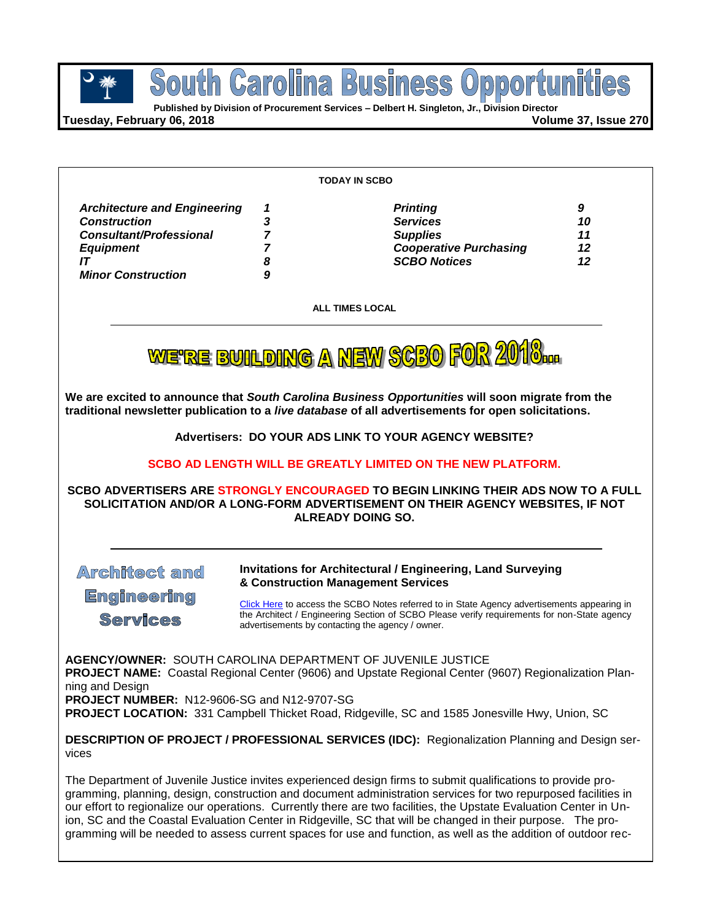

**Tuesday, February 06, 2018 Volume 37, Issue 270**

|                                                                                                                                                     |                            | <b>TODAY IN SCBO</b>                                                                                                                                                                                                                           |                           |
|-----------------------------------------------------------------------------------------------------------------------------------------------------|----------------------------|------------------------------------------------------------------------------------------------------------------------------------------------------------------------------------------------------------------------------------------------|---------------------------|
| <b>Architecture and Engineering</b><br><b>Construction</b><br><b>Consultant/Professional</b><br><b>Equipment</b><br>IT<br><b>Minor Construction</b> | 1<br>3<br>7<br>7<br>8<br>9 | <b>Printing</b><br><b>Services</b><br><b>Supplies</b><br><b>Cooperative Purchasing</b><br><b>SCBO Notices</b>                                                                                                                                  | 9<br>10<br>11<br>12<br>12 |
|                                                                                                                                                     |                            | <b>ALL TIMES LOCAL</b>                                                                                                                                                                                                                         |                           |
|                                                                                                                                                     |                            | WE'RE BUILDING A NEW SCBO FOR 2010                                                                                                                                                                                                             |                           |
|                                                                                                                                                     |                            | We are excited to announce that South Carolina Business Opportunities will soon migrate from the<br>traditional newsletter publication to a live database of all advertisements for open solicitations.                                        |                           |
|                                                                                                                                                     |                            | Advertisers: DO YOUR ADS LINK TO YOUR AGENCY WEBSITE?                                                                                                                                                                                          |                           |
|                                                                                                                                                     |                            | SCBO AD LENGTH WILL BE GREATLY LIMITED ON THE NEW PLATFORM.                                                                                                                                                                                    |                           |
|                                                                                                                                                     |                            | SCBO ADVERTISERS ARE STRONGLY ENCOURAGED TO BEGIN LINKING THEIR ADS NOW TO A FULL<br>SOLICITATION AND/OR A LONG-FORM ADVERTISEMENT ON THEIR AGENCY WEBSITES, IF NOT<br><b>ALREADY DOING SO.</b>                                                |                           |
| <b>Architect amd</b>                                                                                                                                |                            | <b>Invitations for Architectural / Engineering, Land Surveying</b><br>& Construction Management Services                                                                                                                                       |                           |
| <b>Engineering</b><br><b>Services</b>                                                                                                               |                            | Click Here to access the SCBO Notes referred to in State Agency advertisements appearing in<br>the Architect / Engineering Section of SCBO Please verify requirements for non-State agency<br>advertisements by contacting the agency / owner. |                           |
| <b>AGENCY/OWNER: SOUTH CAROLINA DEPARTMENT OF JUVENILE JUSTICE</b><br>ning and Design<br>PROJECT NUMBER: N12-9606-SG and N12-9707-SG                |                            | PROJECT NAME: Coastal Regional Center (9606) and Upstate Regional Center (9607) Regionalization Plan-<br>PROJECT LOCATION: 331 Campbell Thicket Road, Ridgeville, SC and 1585 Jonesville Hwy, Union, SC                                        |                           |
| vices                                                                                                                                               |                            | <b>DESCRIPTION OF PROJECT / PROFESSIONAL SERVICES (IDC):</b> Regionalization Planning and Design ser-                                                                                                                                          |                           |

The Department of Juvenile Justice invites experienced design firms to submit qualifications to provide programming, planning, design, construction and document administration services for two repurposed facilities in our effort to regionalize our operations. Currently there are two facilities, the Upstate Evaluation Center in Union, SC and the Coastal Evaluation Center in Ridgeville, SC that will be changed in their purpose. The programming will be needed to assess current spaces for use and function, as well as the addition of outdoor rec-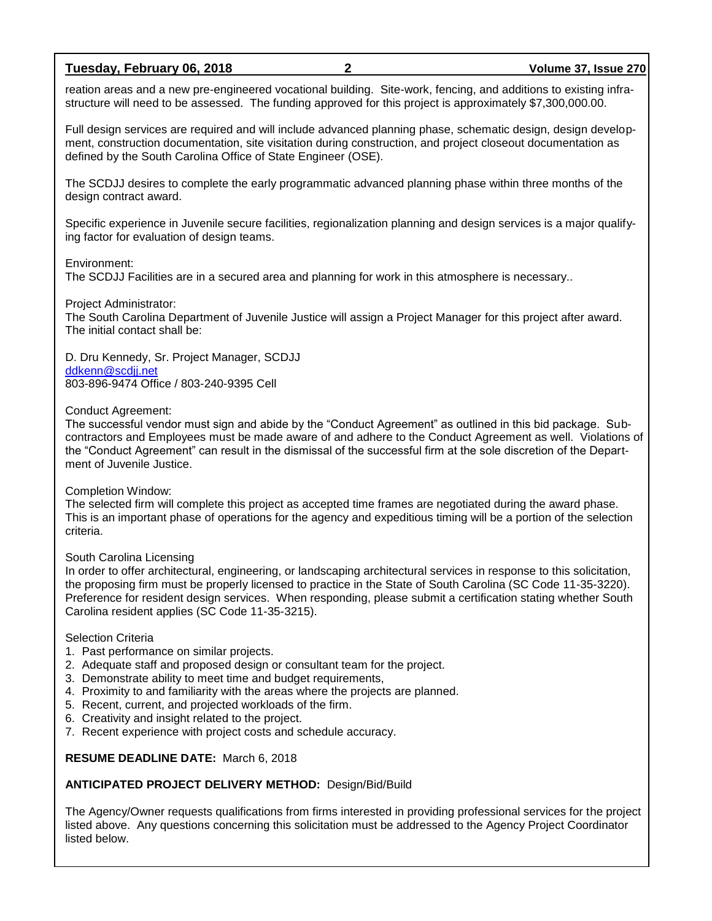### **Tuesday, February 06, 2018 2 Volume 37, Issue 270**

reation areas and a new pre-engineered vocational building. Site-work, fencing, and additions to existing infrastructure will need to be assessed. The funding approved for this project is approximately \$7,300,000.00.

Full design services are required and will include advanced planning phase, schematic design, design development, construction documentation, site visitation during construction, and project closeout documentation as defined by the South Carolina Office of State Engineer (OSE).

The SCDJJ desires to complete the early programmatic advanced planning phase within three months of the design contract award.

Specific experience in Juvenile secure facilities, regionalization planning and design services is a major qualifying factor for evaluation of design teams.

### Environment:

The SCDJJ Facilities are in a secured area and planning for work in this atmosphere is necessary..

Project Administrator:

The South Carolina Department of Juvenile Justice will assign a Project Manager for this project after award. The initial contact shall be:

D. Dru Kennedy, Sr. Project Manager, SCDJJ [ddkenn@scdjj.net](mailto:ddkenn@scdjj.net) 803-896-9474 Office / 803-240-9395 Cell

### Conduct Agreement:

The successful vendor must sign and abide by the "Conduct Agreement" as outlined in this bid package. Subcontractors and Employees must be made aware of and adhere to the Conduct Agreement as well. Violations of the "Conduct Agreement" can result in the dismissal of the successful firm at the sole discretion of the Department of Juvenile Justice.

### Completion Window:

The selected firm will complete this project as accepted time frames are negotiated during the award phase. This is an important phase of operations for the agency and expeditious timing will be a portion of the selection criteria.

### South Carolina Licensing

In order to offer architectural, engineering, or landscaping architectural services in response to this solicitation, the proposing firm must be properly licensed to practice in the State of South Carolina (SC Code 11-35-3220). Preference for resident design services. When responding, please submit a certification stating whether South Carolina resident applies (SC Code 11-35-3215).

#### Selection Criteria

- 1. Past performance on similar projects.
- 2. Adequate staff and proposed design or consultant team for the project.
- 3. Demonstrate ability to meet time and budget requirements,
- 4. Proximity to and familiarity with the areas where the projects are planned.
- 5. Recent, current, and projected workloads of the firm.
- 6. Creativity and insight related to the project.
- 7. Recent experience with project costs and schedule accuracy.

### **RESUME DEADLINE DATE:** March 6, 2018

### **ANTICIPATED PROJECT DELIVERY METHOD:** Design/Bid/Build

The Agency/Owner requests qualifications from firms interested in providing professional services for the project listed above. Any questions concerning this solicitation must be addressed to the Agency Project Coordinator listed below.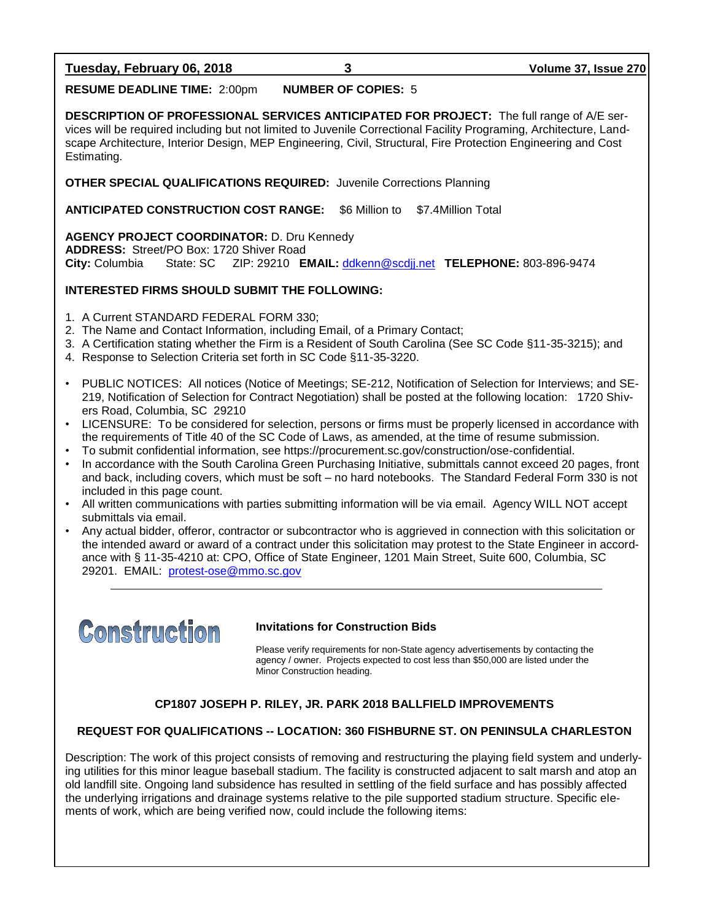**Tuesday, February 06, 2018 3 Volume 37, Issue 270**

**RESUME DEADLINE TIME:** 2:00pm **NUMBER OF COPIES:** 5

**DESCRIPTION OF PROFESSIONAL SERVICES ANTICIPATED FOR PROJECT:** The full range of A/E services will be required including but not limited to Juvenile Correctional Facility Programing, Architecture, Landscape Architecture, Interior Design, MEP Engineering, Civil, Structural, Fire Protection Engineering and Cost Estimating.

**OTHER SPECIAL QUALIFICATIONS REQUIRED:** Juvenile Corrections Planning

**ANTICIPATED CONSTRUCTION COST RANGE:** \$6 Million to \$7.4Million Total

**AGENCY PROJECT COORDINATOR:** D. Dru Kennedy

**ADDRESS:** Street/PO Box: 1720 Shiver Road

**City:** Columbia State: SC ZIP: 29210 **EMAIL:** [ddkenn@scdjj.net](mailto:ddkenn@scdjj.net) **TELEPHONE:** 803-896-9474

### **INTERESTED FIRMS SHOULD SUBMIT THE FOLLOWING:**

- 1. A Current STANDARD FEDERAL FORM 330;
- 2. The Name and Contact Information, including Email, of a Primary Contact;
- 3. A Certification stating whether the Firm is a Resident of South Carolina (See SC Code §11-35-3215); and
- 4. Response to Selection Criteria set forth in SC Code §11-35-3220.
- PUBLIC NOTICES: All notices (Notice of Meetings; SE-212, Notification of Selection for Interviews; and SE-219, Notification of Selection for Contract Negotiation) shall be posted at the following location: 1720 Shivers Road, Columbia, SC 29210
- LICENSURE: To be considered for selection, persons or firms must be properly licensed in accordance with the requirements of Title 40 of the SC Code of Laws, as amended, at the time of resume submission.
- To submit confidential information, see https://procurement.sc.gov/construction/ose-confidential.
- In accordance with the South Carolina Green Purchasing Initiative, submittals cannot exceed 20 pages, front and back, including covers, which must be soft – no hard notebooks. The Standard Federal Form 330 is not included in this page count.
- All written communications with parties submitting information will be via email. Agency WILL NOT accept submittals via email.
- Any actual bidder, offeror, contractor or subcontractor who is aggrieved in connection with this solicitation or the intended award or award of a contract under this solicitation may protest to the State Engineer in accordance with § 11-35-4210 at: CPO, Office of State Engineer, 1201 Main Street, Suite 600, Columbia, SC 29201. EMAIL: [protest-ose@mmo.sc.gov](mailto:protest-ose@mmo.sc.gov)



### **Invitations for Construction Bids**

Please verify requirements for non-State agency advertisements by contacting the agency / owner. Projects expected to cost less than \$50,000 are listed under the Minor Construction heading.

### **CP1807 JOSEPH P. RILEY, JR. PARK 2018 BALLFIELD IMPROVEMENTS**

### **REQUEST FOR QUALIFICATIONS -- LOCATION: 360 FISHBURNE ST. ON PENINSULA CHARLESTON**

Description: The work of this project consists of removing and restructuring the playing field system and underlying utilities for this minor league baseball stadium. The facility is constructed adjacent to salt marsh and atop an old landfill site. Ongoing land subsidence has resulted in settling of the field surface and has possibly affected the underlying irrigations and drainage systems relative to the pile supported stadium structure. Specific elements of work, which are being verified now, could include the following items: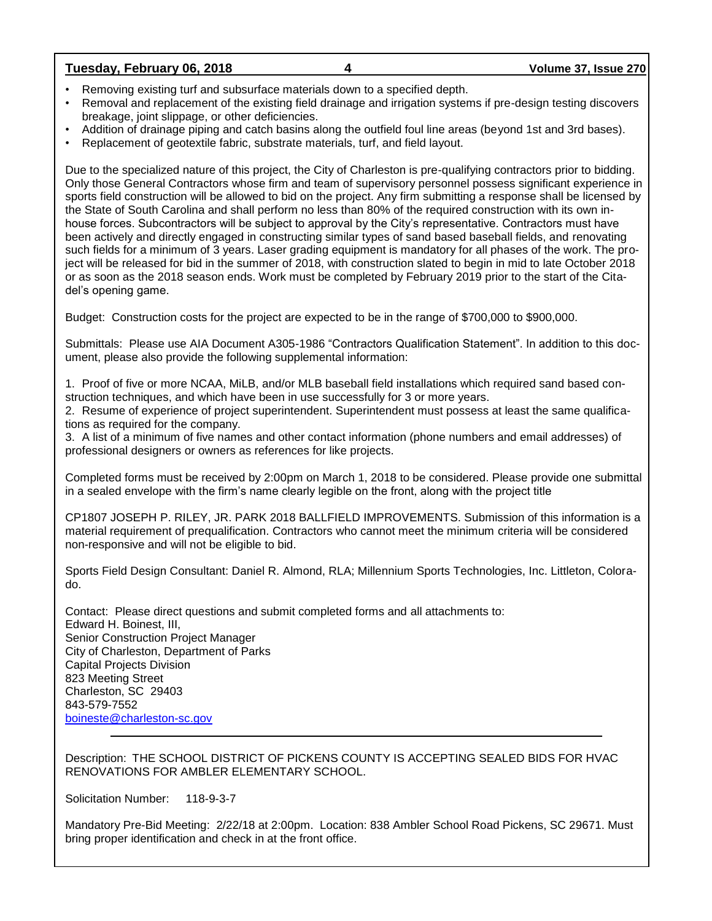### **Tuesday, February 06, 2018 4 Volume 37, Issue 270**

- Removing existing turf and subsurface materials down to a specified depth.
- Removal and replacement of the existing field drainage and irrigation systems if pre-design testing discovers breakage, joint slippage, or other deficiencies.
- Addition of drainage piping and catch basins along the outfield foul line areas (beyond 1st and 3rd bases).
- Replacement of geotextile fabric, substrate materials, turf, and field layout.

Due to the specialized nature of this project, the City of Charleston is pre-qualifying contractors prior to bidding. Only those General Contractors whose firm and team of supervisory personnel possess significant experience in sports field construction will be allowed to bid on the project. Any firm submitting a response shall be licensed by the State of South Carolina and shall perform no less than 80% of the required construction with its own inhouse forces. Subcontractors will be subject to approval by the City's representative. Contractors must have been actively and directly engaged in constructing similar types of sand based baseball fields, and renovating such fields for a minimum of 3 years. Laser grading equipment is mandatory for all phases of the work. The project will be released for bid in the summer of 2018, with construction slated to begin in mid to late October 2018 or as soon as the 2018 season ends. Work must be completed by February 2019 prior to the start of the Citadel's opening game.

Budget: Construction costs for the project are expected to be in the range of \$700,000 to \$900,000.

Submittals: Please use AIA Document A305-1986 "Contractors Qualification Statement". In addition to this document, please also provide the following supplemental information:

1. Proof of five or more NCAA, MiLB, and/or MLB baseball field installations which required sand based construction techniques, and which have been in use successfully for 3 or more years.

2. Resume of experience of project superintendent. Superintendent must possess at least the same qualifications as required for the company.

3. A list of a minimum of five names and other contact information (phone numbers and email addresses) of professional designers or owners as references for like projects.

Completed forms must be received by 2:00pm on March 1, 2018 to be considered. Please provide one submittal in a sealed envelope with the firm's name clearly legible on the front, along with the project title

CP1807 JOSEPH P. RILEY, JR. PARK 2018 BALLFIELD IMPROVEMENTS. Submission of this information is a material requirement of prequalification. Contractors who cannot meet the minimum criteria will be considered non-responsive and will not be eligible to bid.

Sports Field Design Consultant: Daniel R. Almond, RLA; Millennium Sports Technologies, Inc. Littleton, Colorado.

Contact: Please direct questions and submit completed forms and all attachments to: Edward H. Boinest, III, Senior Construction Project Manager City of Charleston, Department of Parks Capital Projects Division 823 Meeting Street Charleston, SC 29403 843-579-7552 [boineste@charleston-sc.gov](mailto:boineste@charleston-sc.gov)

Description: THE SCHOOL DISTRICT OF PICKENS COUNTY IS ACCEPTING SEALED BIDS FOR HVAC RENOVATIONS FOR AMBLER ELEMENTARY SCHOOL.

Solicitation Number: 118-9-3-7

Mandatory Pre-Bid Meeting: 2/22/18 at 2:00pm. Location: 838 Ambler School Road Pickens, SC 29671. Must bring proper identification and check in at the front office.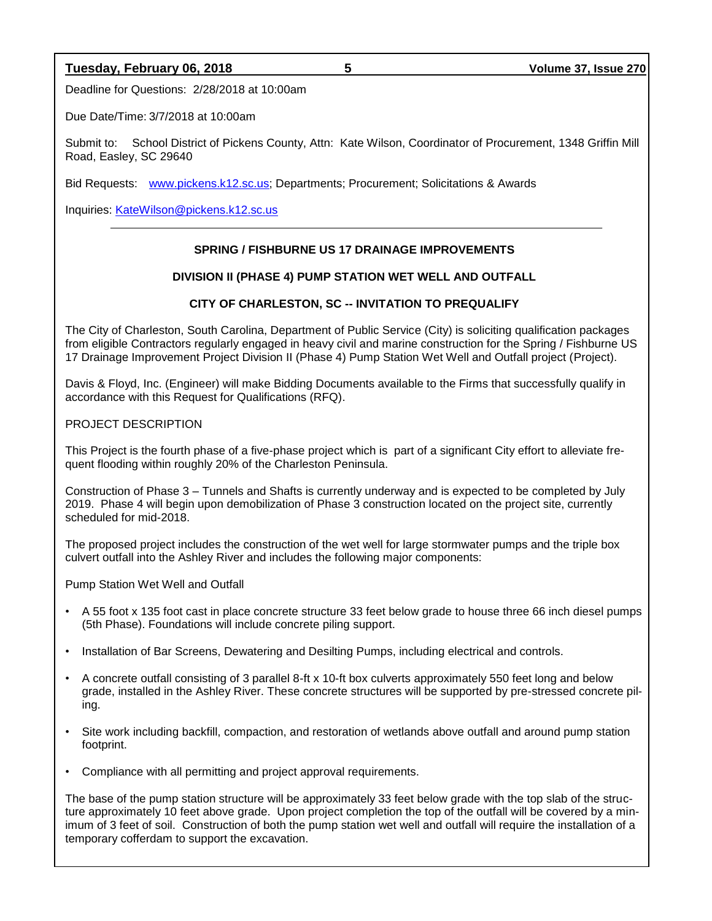### **Tuesday, February 06, 2018 5 Volume 37, Issue 270**

Deadline for Questions: 2/28/2018 at 10:00am

Due Date/Time: 3/7/2018 at 10:00am

Submit to: School District of Pickens County, Attn: Kate Wilson, Coordinator of Procurement, 1348 Griffin Mill Road, Easley, SC 29640

Bid Requests: [www.pickens.k12.sc.us;](http://www.pickens.k12.sc.us/) Departments; Procurement; Solicitations & Awards

Inquiries: [KateWilson@pickens.k12.sc.us](mailto:KateWilson@pickens.k12.sc.us)

### **SPRING / FISHBURNE US 17 DRAINAGE IMPROVEMENTS**

### **DIVISION II (PHASE 4) PUMP STATION WET WELL AND OUTFALL**

### **CITY OF CHARLESTON, SC -- INVITATION TO PREQUALIFY**

The City of Charleston, South Carolina, Department of Public Service (City) is soliciting qualification packages from eligible Contractors regularly engaged in heavy civil and marine construction for the Spring / Fishburne US 17 Drainage Improvement Project Division II (Phase 4) Pump Station Wet Well and Outfall project (Project).

Davis & Floyd, Inc. (Engineer) will make Bidding Documents available to the Firms that successfully qualify in accordance with this Request for Qualifications (RFQ).

PROJECT DESCRIPTION

This Project is the fourth phase of a five-phase project which is part of a significant City effort to alleviate frequent flooding within roughly 20% of the Charleston Peninsula.

Construction of Phase 3 – Tunnels and Shafts is currently underway and is expected to be completed by July 2019. Phase 4 will begin upon demobilization of Phase 3 construction located on the project site, currently scheduled for mid-2018.

The proposed project includes the construction of the wet well for large stormwater pumps and the triple box culvert outfall into the Ashley River and includes the following major components:

Pump Station Wet Well and Outfall

- A 55 foot x 135 foot cast in place concrete structure 33 feet below grade to house three 66 inch diesel pumps (5th Phase). Foundations will include concrete piling support.
- Installation of Bar Screens, Dewatering and Desilting Pumps, including electrical and controls.
- A concrete outfall consisting of 3 parallel 8-ft x 10-ft box culverts approximately 550 feet long and below grade, installed in the Ashley River. These concrete structures will be supported by pre-stressed concrete piling.
- Site work including backfill, compaction, and restoration of wetlands above outfall and around pump station footprint.
- Compliance with all permitting and project approval requirements.

The base of the pump station structure will be approximately 33 feet below grade with the top slab of the structure approximately 10 feet above grade. Upon project completion the top of the outfall will be covered by a minimum of 3 feet of soil. Construction of both the pump station wet well and outfall will require the installation of a temporary cofferdam to support the excavation.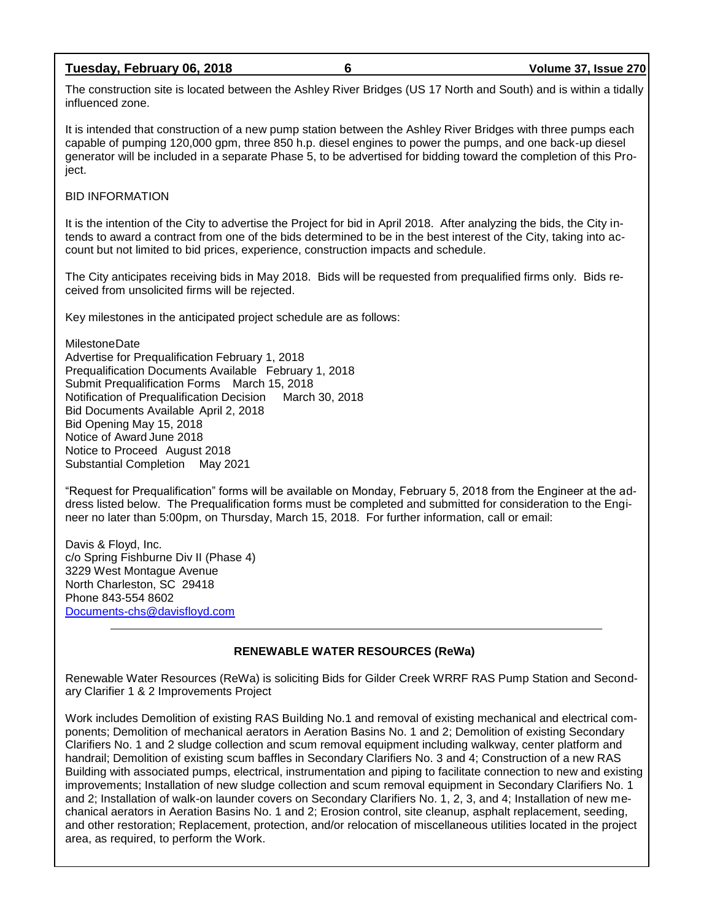### **Tuesday, February 06, 2018 6 Volume 37, Issue 270**

The construction site is located between the Ashley River Bridges (US 17 North and South) and is within a tidally influenced zone.

It is intended that construction of a new pump station between the Ashley River Bridges with three pumps each capable of pumping 120,000 gpm, three 850 h.p. diesel engines to power the pumps, and one back-up diesel generator will be included in a separate Phase 5, to be advertised for bidding toward the completion of this Project.

### BID INFORMATION

It is the intention of the City to advertise the Project for bid in April 2018. After analyzing the bids, the City intends to award a contract from one of the bids determined to be in the best interest of the City, taking into account but not limited to bid prices, experience, construction impacts and schedule.

The City anticipates receiving bids in May 2018. Bids will be requested from prequalified firms only. Bids received from unsolicited firms will be rejected.

Key milestones in the anticipated project schedule are as follows:

MilestoneDate

Advertise for Prequalification February 1, 2018 Prequalification Documents Available February 1, 2018 Submit Prequalification Forms March 15, 2018 Notification of Prequalification Decision March 30, 2018 Bid Documents Available April 2, 2018 Bid Opening May 15, 2018 Notice of Award June 2018 Notice to Proceed August 2018 Substantial Completion May 2021

"Request for Prequalification" forms will be available on Monday, February 5, 2018 from the Engineer at the address listed below. The Prequalification forms must be completed and submitted for consideration to the Engineer no later than 5:00pm, on Thursday, March 15, 2018. For further information, call or email:

Davis & Floyd, Inc. c/o Spring Fishburne Div II (Phase 4) 3229 West Montague Avenue North Charleston, SC 29418 Phone 843-554 8602 [Documents-chs@davisfloyd.com](mailto:Documents-chs@davisfloyd.com)

### **RENEWABLE WATER RESOURCES (ReWa)**

Renewable Water Resources (ReWa) is soliciting Bids for Gilder Creek WRRF RAS Pump Station and Secondary Clarifier 1 & 2 Improvements Project

Work includes Demolition of existing RAS Building No.1 and removal of existing mechanical and electrical components; Demolition of mechanical aerators in Aeration Basins No. 1 and 2; Demolition of existing Secondary Clarifiers No. 1 and 2 sludge collection and scum removal equipment including walkway, center platform and handrail; Demolition of existing scum baffles in Secondary Clarifiers No. 3 and 4; Construction of a new RAS Building with associated pumps, electrical, instrumentation and piping to facilitate connection to new and existing improvements; Installation of new sludge collection and scum removal equipment in Secondary Clarifiers No. 1 and 2; Installation of walk-on launder covers on Secondary Clarifiers No. 1, 2, 3, and 4; Installation of new mechanical aerators in Aeration Basins No. 1 and 2; Erosion control, site cleanup, asphalt replacement, seeding, and other restoration; Replacement, protection, and/or relocation of miscellaneous utilities located in the project area, as required, to perform the Work.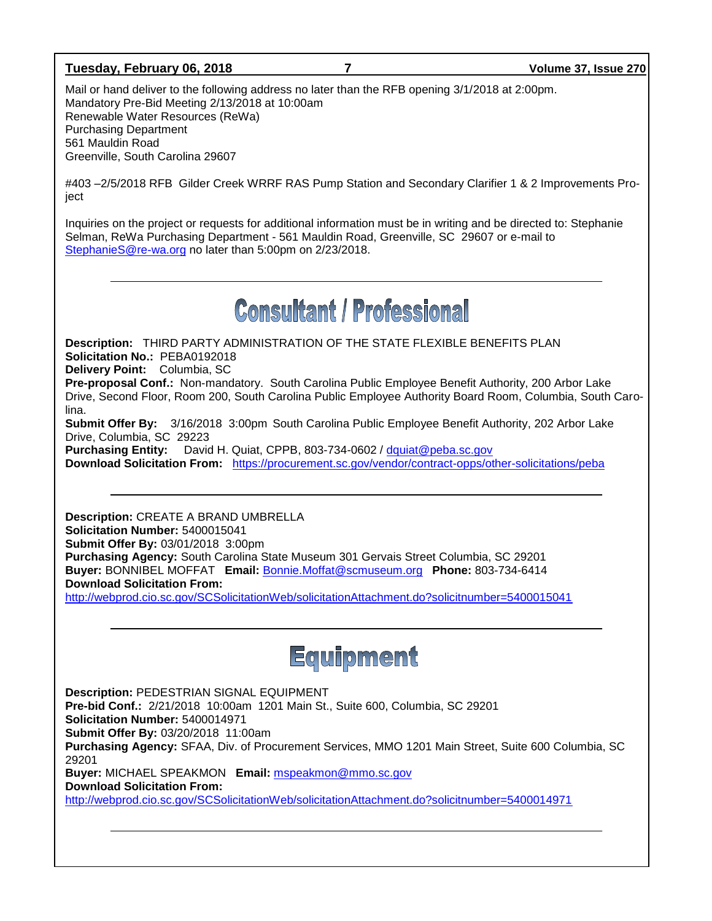### **Tuesday, February 06, 2018 7 Volume 37, Issue 270**

Mail or hand deliver to the following address no later than the RFB opening 3/1/2018 at 2:00pm. Mandatory Pre-Bid Meeting 2/13/2018 at 10:00am Renewable Water Resources (ReWa) Purchasing Department 561 Mauldin Road Greenville, South Carolina 29607

#403 –2/5/2018 RFB Gilder Creek WRRF RAS Pump Station and Secondary Clarifier 1 & 2 Improvements Proiect

Inquiries on the project or requests for additional information must be in writing and be directed to: Stephanie Selman, ReWa Purchasing Department - 561 Mauldin Road, Greenville, SC 29607 or e-mail to [StephanieS@re-wa.org](mailto:StephanieS@re-wa.org) no later than 5:00pm on 2/23/2018.

## **Consultant / Professional**

**Description:** THIRD PARTY ADMINISTRATION OF THE STATE FLEXIBLE BENEFITS PLAN **Solicitation No.:** PEBA0192018 **Delivery Point:** Columbia, SC **Pre-proposal Conf.:** Non-mandatory. South Carolina Public Employee Benefit Authority, 200 Arbor Lake Drive, Second Floor, Room 200, South Carolina Public Employee Authority Board Room, Columbia, South Carolina. **Submit Offer By:** 3/16/2018 3:00pm South Carolina Public Employee Benefit Authority, 202 Arbor Lake Drive, Columbia, SC 29223 **Purchasing Entity:** David H. Quiat, CPPB, 803-734-0602 / [dquiat@peba.sc.gov](mailto:dquiat@peba.sc.gov)

**Download Solicitation From:** <https://procurement.sc.gov/vendor/contract-opps/other-solicitations/peba>

**Description:** CREATE A BRAND UMBRELLA **Solicitation Number:** 5400015041 **Submit Offer By:** 03/01/2018 3:00pm **Purchasing Agency:** South Carolina State Museum 301 Gervais Street Columbia, SC 29201 **Buyer:** BONNIBEL MOFFAT **Email:** [Bonnie.Moffat@scmuseum.org](mailto:Bonnie.Moffat@scmuseum.org) **Phone:** 803-734-6414 **Download Solicitation From:**  <http://webprod.cio.sc.gov/SCSolicitationWeb/solicitationAttachment.do?solicitnumber=5400015041>



**Description:** PEDESTRIAN SIGNAL EQUIPMENT

**Pre-bid Conf.:** 2/21/2018 10:00am 1201 Main St., Suite 600, Columbia, SC 29201

**Solicitation Number:** 5400014971

**Submit Offer By:** 03/20/2018 11:00am

**Purchasing Agency:** SFAA, Div. of Procurement Services, MMO 1201 Main Street, Suite 600 Columbia, SC 29201

**Buyer:** MICHAEL SPEAKMON **Email:** [mspeakmon@mmo.sc.gov](mailto:mspeakmon@mmo.sc.gov)

**Download Solicitation From:** 

<http://webprod.cio.sc.gov/SCSolicitationWeb/solicitationAttachment.do?solicitnumber=5400014971>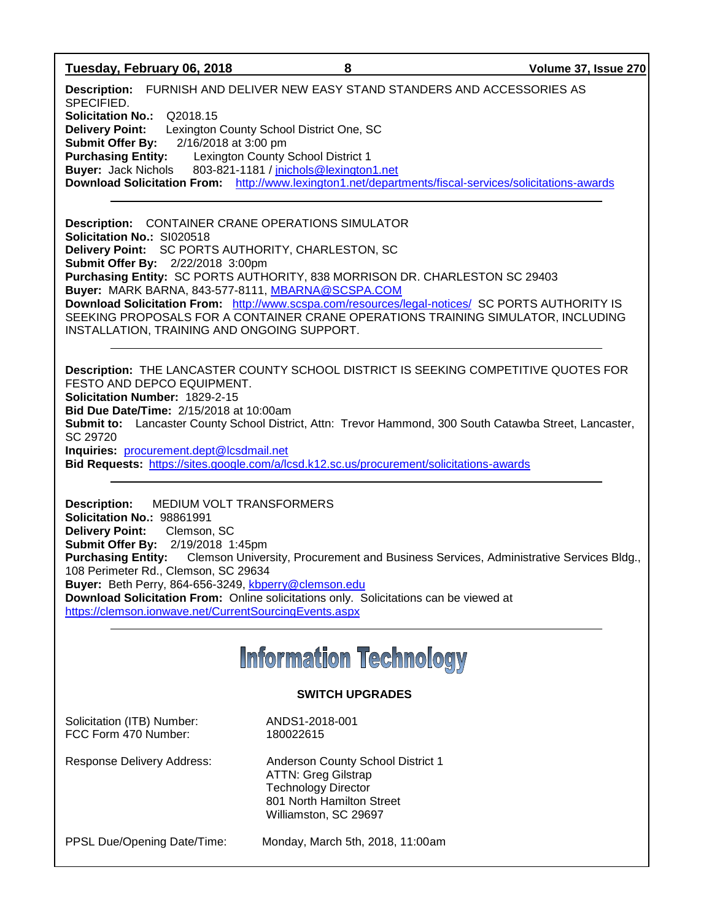### **Tuesday, February 06, 2018 8 Volume 37, Issue 270**

**Description:** FURNISH AND DELIVER NEW EASY STAND STANDERS AND ACCESSORIES AS SPECIFIED. **Solicitation No.:** Q2018.15 **Delivery Point:** Lexington County School District One, SC **Submit Offer By:** 2/16/2018 at 3:00 pm **Purchasing Entity:** Lexington County School District 1 **Buyer:** Jack Nichols 803-821-1181 / [jnichols@lexington1.net](mailto:jnichols@lexington1.net) **Download Solicitation From:** <http://www.lexington1.net/departments/fiscal-services/solicitations-awards>

**Description:** CONTAINER CRANE OPERATIONS SIMULATOR **Solicitation No.:** SI020518 **Delivery Point:** SC PORTS AUTHORITY, CHARLESTON, SC **Submit Offer By:** 2/22/2018 3:00pm **Purchasing Entity:** SC PORTS AUTHORITY, 838 MORRISON DR. CHARLESTON SC 29403 **Buyer:** MARK BARNA, 843-577-8111, [MBARNA@SCSPA.COM](mailto:MBARNA@SCSPA.COM) **Download Solicitation From:** <http://www.scspa.com/resources/legal-notices/>SC PORTS AUTHORITY IS SEEKING PROPOSALS FOR A CONTAINER CRANE OPERATIONS TRAINING SIMULATOR, INCLUDING INSTALLATION, TRAINING AND ONGOING SUPPORT.

**Description:** THE LANCASTER COUNTY SCHOOL DISTRICT IS SEEKING COMPETITIVE QUOTES FOR FESTO AND DEPCO EQUIPMENT.

**Solicitation Number:** 1829-2-15

**Bid Due Date/Time:** 2/15/2018 at 10:00am

**Submit to:** Lancaster County School District, Attn: Trevor Hammond, 300 South Catawba Street, Lancaster, SC 29720

**Inquiries:** [procurement.dept@lcsdmail.net](mailto:procurement.dept@lcsdmail.net)

**Bid Requests:** <https://sites.google.com/a/lcsd.k12.sc.us/procurement/solicitations-awards>

**Description:** MEDIUM VOLT TRANSFORMERS **Solicitation No.:** 98861991 **Delivery Point:** Clemson, SC **Submit Offer By:** 2/19/2018 1:45pm **Purchasing Entity:** Clemson University, Procurement and Business Services, Administrative Services Bldg., 108 Perimeter Rd., Clemson, SC 29634 **Buyer:** Beth Perry, 864-656-3249, [kbperry@clemson.edu](mailto:kbperry@clemson.edu) **Download Solicitation From:** Online solicitations only. Solicitations can be viewed at <https://clemson.ionwave.net/CurrentSourcingEvents.aspx>

## **Information Technology**

### **SWITCH UPGRADES**

Solicitation (ITB) Number: ANDS1-2018-001 FCC Form 470 Number: 180022615

Response Delivery Address: Anderson County School District 1 ATTN: Greg Gilstrap Technology Director 801 North Hamilton Street Williamston, SC 29697

PPSL Due/Opening Date/Time: Monday, March 5th, 2018, 11:00am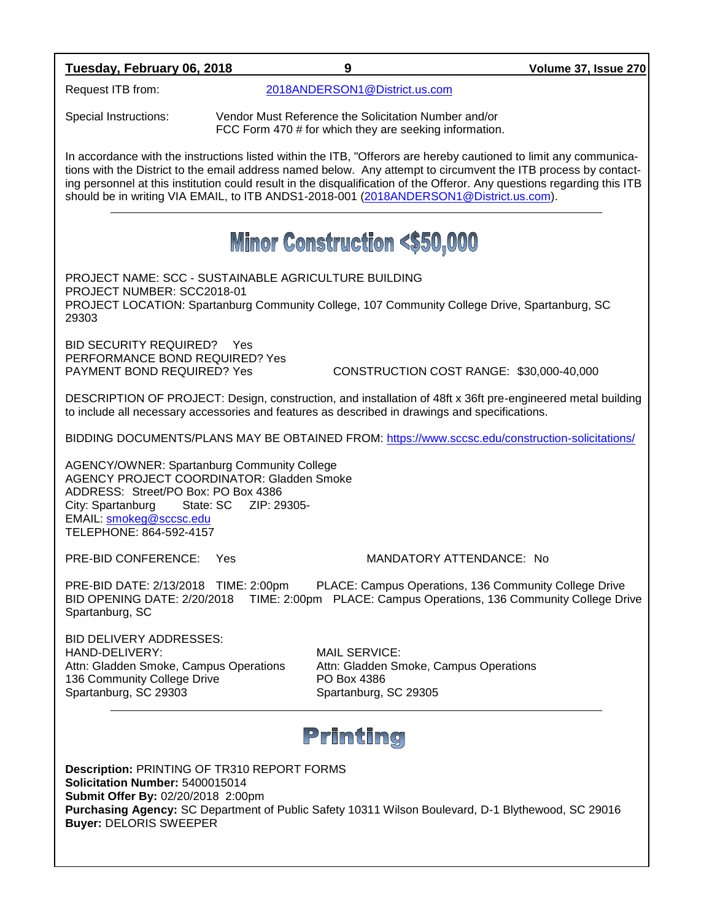### **Tuesday, February 06, 2018 9 Volume 37, Issue 270**

Request ITB from: [2018ANDERSON1@District.us.com](mailto:2018ANDERSON1@District.us.com)

Special Instructions: Vendor Must Reference the Solicitation Number and/or FCC Form 470 # for which they are seeking information.

In accordance with the instructions listed within the ITB, "Offerors are hereby cautioned to limit any communications with the District to the email address named below. Any attempt to circumvent the ITB process by contacting personnel at this institution could result in the disqualification of the Offeror. Any questions regarding this ITB should be in writing VIA EMAIL, to ITB ANDS1-2018-001 [\(2018ANDERSON1@District.us.com\)](mailto:2018ANDERSON1@District.us.com).

## **Minor Construction <\$50,000**

PROJECT NAME: SCC - SUSTAINABLE AGRICULTURE BUILDING PROJECT NUMBER: SCC2018-01 PROJECT LOCATION: Spartanburg Community College, 107 Community College Drive, Spartanburg, SC 29303

BID SECURITY REQUIRED? Yes PERFORMANCE BOND REQUIRED? Yes

PAYMENT BOND REQUIRED? Yes CONSTRUCTION COST RANGE: \$30,000-40,000

DESCRIPTION OF PROJECT: Design, construction, and installation of 48ft x 36ft pre-engineered metal building to include all necessary accessories and features as described in drawings and specifications.

BIDDING DOCUMENTS/PLANS MAY BE OBTAINED FROM:<https://www.sccsc.edu/construction-solicitations/>

AGENCY/OWNER: Spartanburg Community College AGENCY PROJECT COORDINATOR: Gladden Smoke ADDRESS: Street/PO Box: PO Box 4386 City: Spartanburg State: SC ZIP: 29305- EMAIL: [smokeg@sccsc.edu](mailto:smokeg@sccsc.edu) TELEPHONE: 864-592-4157

### PRE-BID CONFERENCE: Yes MANDATORY ATTENDANCE: No

PRE-BID DATE: 2/13/2018 TIME: 2:00pm PLACE: Campus Operations, 136 Community College Drive BID OPENING DATE: 2/20/2018 TIME: 2:00pm PLACE: Campus Operations, 136 Community College Drive Spartanburg, SC

BID DELIVERY ADDRESSES: HAND-DELIVERY: MAIL SERVICE: Attn: Gladden Smoke, Campus Operations Attn: Gladden Smoke, Campus Operations 136 Community College Drive **PO Box 4386** Spartanburg, SC 29303 Spartanburg, SC 29305

### Printing

**Description:** PRINTING OF TR310 REPORT FORMS **Solicitation Number:** 5400015014 **Submit Offer By:** 02/20/2018 2:00pm **Purchasing Agency:** SC Department of Public Safety 10311 Wilson Boulevard, D-1 Blythewood, SC 29016 **Buyer:** DELORIS SWEEPER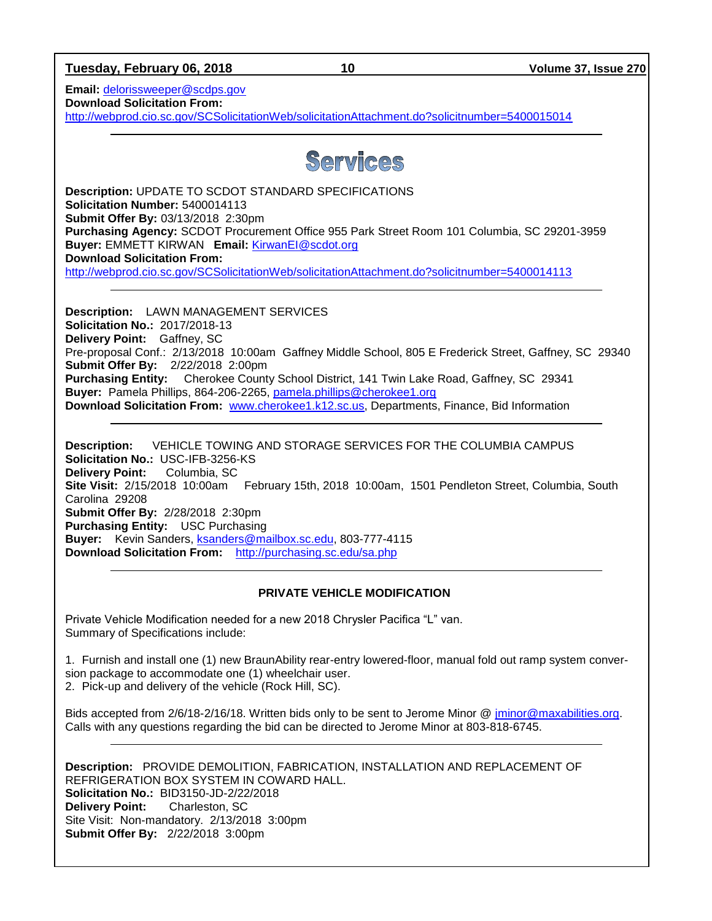**Tuesday, February 06, 2018 10 Volume 37, Issue 270**

**Email:** [delorissweeper@scdps.gov](mailto:delorissweeper@scdps.gov) **Download Solicitation From:** 

<http://webprod.cio.sc.gov/SCSolicitationWeb/solicitationAttachment.do?solicitnumber=5400015014>

### Services

**Description:** UPDATE TO SCDOT STANDARD SPECIFICATIONS **Solicitation Number:** 5400014113 **Submit Offer By:** 03/13/2018 2:30pm **Purchasing Agency:** SCDOT Procurement Office 955 Park Street Room 101 Columbia, SC 29201-3959 **Buyer:** EMMETT KIRWAN **Email:** [KirwanEI@scdot.org](mailto:KirwanEI@scdot.org) **Download Solicitation From:**  <http://webprod.cio.sc.gov/SCSolicitationWeb/solicitationAttachment.do?solicitnumber=5400014113>

**Description:** LAWN MANAGEMENT SERVICES **Solicitation No.:** 2017/2018-13 **Delivery Point:** Gaffney, SC Pre-proposal Conf.: 2/13/2018 10:00am Gaffney Middle School, 805 E Frederick Street, Gaffney, SC 29340 **Submit Offer By:** 2/22/2018 2:00pm **Purchasing Entity:** Cherokee County School District, 141 Twin Lake Road, Gaffney, SC 29341 **Buyer:** Pamela Phillips, 864-206-2265, [pamela.phillips@cherokee1.org](mailto:pamela.phillips@cherokee1.org) **Download Solicitation From:** [www.cherokee1.k12.sc.us,](http://www.cherokee1.k12.sc.us/) Departments, Finance, Bid Information

**Description:** VEHICLE TOWING AND STORAGE SERVICES FOR THE COLUMBIA CAMPUS **Solicitation No.:** USC-IFB-3256-KS **Delivery Point:** Columbia, SC **Site Visit:** 2/15/2018 10:00am February 15th, 2018 10:00am, 1501 Pendleton Street, Columbia, South Carolina 29208 **Submit Offer By:** 2/28/2018 2:30pm **Purchasing Entity:** USC Purchasing **Buyer:** Kevin Sanders, [ksanders@mailbox.sc.edu,](mailto:ksanders@mailbox.sc.edu) 803-777-4115 **Download Solicitation From:** <http://purchasing.sc.edu/sa.php>

### **PRIVATE VEHICLE MODIFICATION**

Private Vehicle Modification needed for a new 2018 Chrysler Pacifica "L" van. Summary of Specifications include:

1. Furnish and install one (1) new BraunAbility rear-entry lowered-floor, manual fold out ramp system conversion package to accommodate one (1) wheelchair user. 2. Pick-up and delivery of the vehicle (Rock Hill, SC).

Bids accepted from 2/6/18-2/16/18. Written bids only to be sent to Jerome Minor @ [jminor@maxabilities.org.](mailto:jminor@maxabilities.org) Calls with any questions regarding the bid can be directed to Jerome Minor at 803-818-6745.

**Description:** PROVIDE DEMOLITION, FABRICATION, INSTALLATION AND REPLACEMENT OF REFRIGERATION BOX SYSTEM IN COWARD HALL. **Solicitation No.:** BID3150-JD-2/22/2018 **Delivery Point:** Charleston, SC Site Visit: Non-mandatory. 2/13/2018 3:00pm **Submit Offer By:** 2/22/2018 3:00pm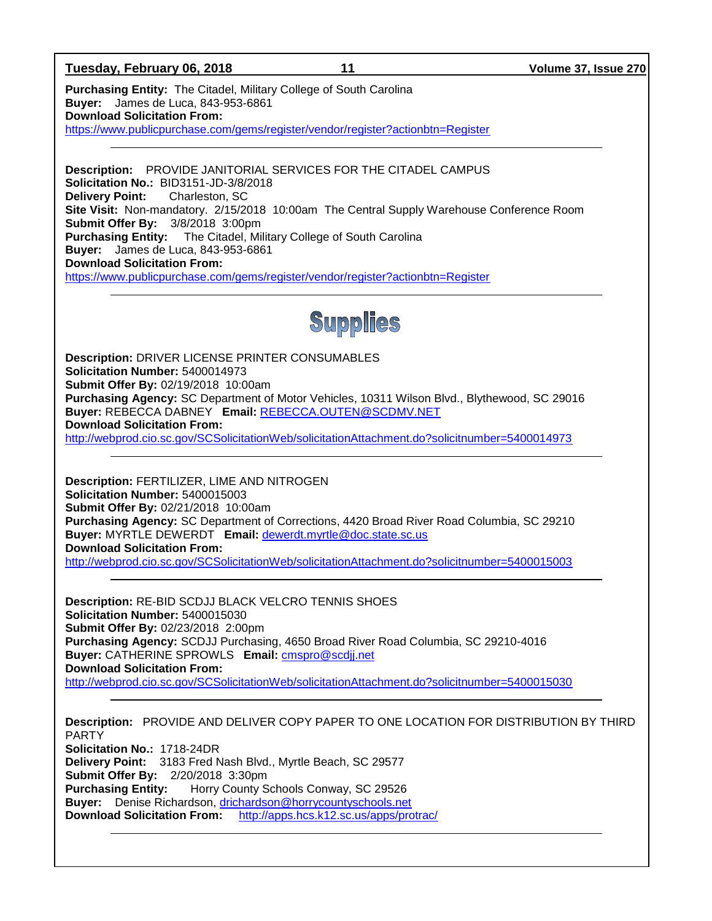### **Tuesday, February 06, 2018 11 Volume 37, Issue 270**

**Purchasing Entity:** The Citadel, Military College of South Carolina **Buyer:** James de Luca, 843-953-6861 **Download Solicitation From:** <https://www.publicpurchase.com/gems/register/vendor/register?actionbtn=Register>

**Description:** PROVIDE JANITORIAL SERVICES FOR THE CITADEL CAMPUS **Solicitation No.:** BID3151-JD-3/8/2018 **Delivery Point:** Charleston, SC **Site Visit:** Non-mandatory. 2/15/2018 10:00am The Central Supply Warehouse Conference Room **Submit Offer By:** 3/8/2018 3:00pm **Purchasing Entity:** The Citadel, Military College of South Carolina **Buyer:** James de Luca, 843-953-6861 **Download Solicitation From:** <https://www.publicpurchase.com/gems/register/vendor/register?actionbtn=Register>



**Description:** DRIVER LICENSE PRINTER CONSUMABLES **Solicitation Number:** 5400014973 **Submit Offer By:** 02/19/2018 10:00am **Purchasing Agency:** SC Department of Motor Vehicles, 10311 Wilson Blvd., Blythewood, SC 29016 **Buyer:** REBECCA DABNEY **Email:** [REBECCA.OUTEN@SCDMV.NET](mailto:REBECCA.OUTEN@SCDMV.NET) **Download Solicitation From:**  <http://webprod.cio.sc.gov/SCSolicitationWeb/solicitationAttachment.do?solicitnumber=5400014973>

**Description:** FERTILIZER, LIME AND NITROGEN **Solicitation Number:** 5400015003 **Submit Offer By:** 02/21/2018 10:00am **Purchasing Agency:** SC Department of Corrections, 4420 Broad River Road Columbia, SC 29210 **Buyer:** MYRTLE DEWERDT **Email:** [dewerdt.myrtle@doc.state.sc.us](mailto:dewerdt.myrtle@doc.state.sc.us) **Download Solicitation From:**  <http://webprod.cio.sc.gov/SCSolicitationWeb/solicitationAttachment.do?solicitnumber=5400015003>

**Description:** RE-BID SCDJJ BLACK VELCRO TENNIS SHOES **Solicitation Number:** 5400015030 **Submit Offer By:** 02/23/2018 2:00pm **Purchasing Agency:** SCDJJ Purchasing, 4650 Broad River Road Columbia, SC 29210-4016 **Buyer:** CATHERINE SPROWLS **Email:** [cmspro@scdjj.net](mailto:cmspro@scdjj.net) **Download Solicitation From:**  <http://webprod.cio.sc.gov/SCSolicitationWeb/solicitationAttachment.do?solicitnumber=5400015030>

**Description:** PROVIDE AND DELIVER COPY PAPER TO ONE LOCATION FOR DISTRIBUTION BY THIRD PARTY **Solicitation No.:** 1718-24DR **Delivery Point:** 3183 Fred Nash Blvd., Myrtle Beach, SC 29577 **Submit Offer By:** 2/20/2018 3:30pm **Purchasing Entity:** Horry County Schools Conway, SC 29526 **Buyer:** Denise Richardson, [drichardson@horrycountyschools.net](mailto:drichardson@horrycountyschools.net) **Download Solicitation From:** <http://apps.hcs.k12.sc.us/apps/protrac/>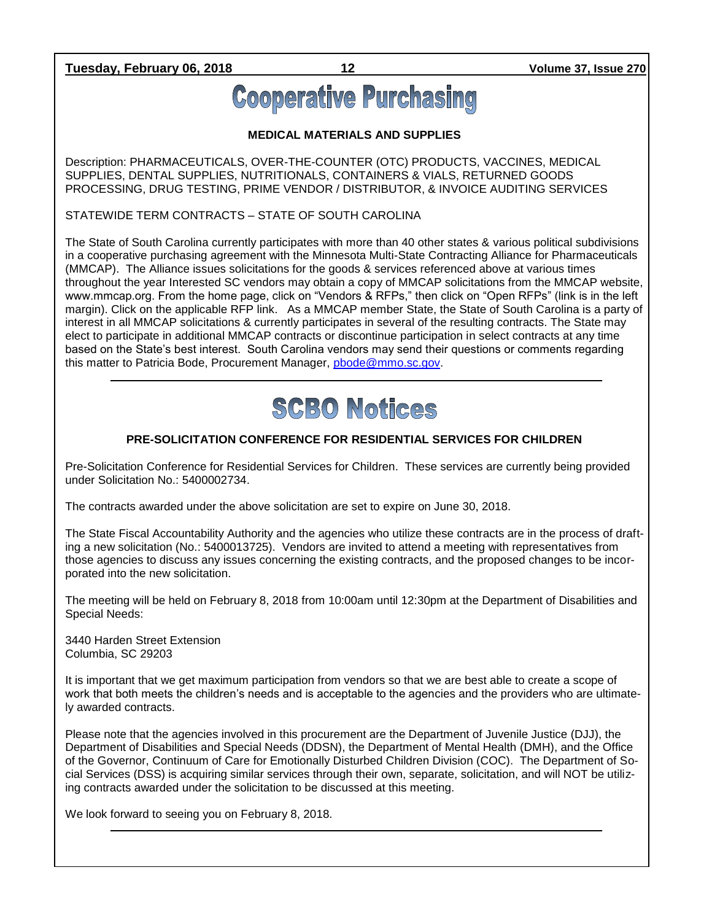**Tuesday, February 06, 2018 12 Volume 37, Issue 270**

# **Cooperative Purchasing**

### **MEDICAL MATERIALS AND SUPPLIES**

Description: PHARMACEUTICALS, OVER-THE-COUNTER (OTC) PRODUCTS, VACCINES, MEDICAL SUPPLIES, DENTAL SUPPLIES, NUTRITIONALS, CONTAINERS & VIALS, RETURNED GOODS PROCESSING, DRUG TESTING, PRIME VENDOR / DISTRIBUTOR, & INVOICE AUDITING SERVICES

STATEWIDE TERM CONTRACTS – STATE OF SOUTH CAROLINA

The State of South Carolina currently participates with more than 40 other states & various political subdivisions in a cooperative purchasing agreement with the Minnesota Multi-State Contracting Alliance for Pharmaceuticals (MMCAP). The Alliance issues solicitations for the goods & services referenced above at various times throughout the year Interested SC vendors may obtain a copy of MMCAP solicitations from the MMCAP website, www.mmcap.org. From the home page, click on "Vendors & RFPs," then click on "Open RFPs" (link is in the left margin). Click on the applicable RFP link. As a MMCAP member State, the State of South Carolina is a party of interest in all MMCAP solicitations & currently participates in several of the resulting contracts. The State may elect to participate in additional MMCAP contracts or discontinue participation in select contracts at any time based on the State's best interest. South Carolina vendors may send their questions or comments regarding this matter to Patricia Bode, Procurement Manager, [pbode@mmo.sc.gov.](mailto:pbode@mmo.sc.gov)



### **PRE-SOLICITATION CONFERENCE FOR RESIDENTIAL SERVICES FOR CHILDREN**

Pre-Solicitation Conference for Residential Services for Children. These services are currently being provided under Solicitation No.: 5400002734.

The contracts awarded under the above solicitation are set to expire on June 30, 2018.

The State Fiscal Accountability Authority and the agencies who utilize these contracts are in the process of drafting a new solicitation (No.: 5400013725). Vendors are invited to attend a meeting with representatives from those agencies to discuss any issues concerning the existing contracts, and the proposed changes to be incorporated into the new solicitation.

The meeting will be held on February 8, 2018 from 10:00am until 12:30pm at the Department of Disabilities and Special Needs:

3440 Harden Street Extension Columbia, SC 29203

It is important that we get maximum participation from vendors so that we are best able to create a scope of work that both meets the children's needs and is acceptable to the agencies and the providers who are ultimately awarded contracts.

Please note that the agencies involved in this procurement are the Department of Juvenile Justice (DJJ), the Department of Disabilities and Special Needs (DDSN), the Department of Mental Health (DMH), and the Office of the Governor, Continuum of Care for Emotionally Disturbed Children Division (COC). The Department of Social Services (DSS) is acquiring similar services through their own, separate, solicitation, and will NOT be utilizing contracts awarded under the solicitation to be discussed at this meeting.

We look forward to seeing you on February 8, 2018.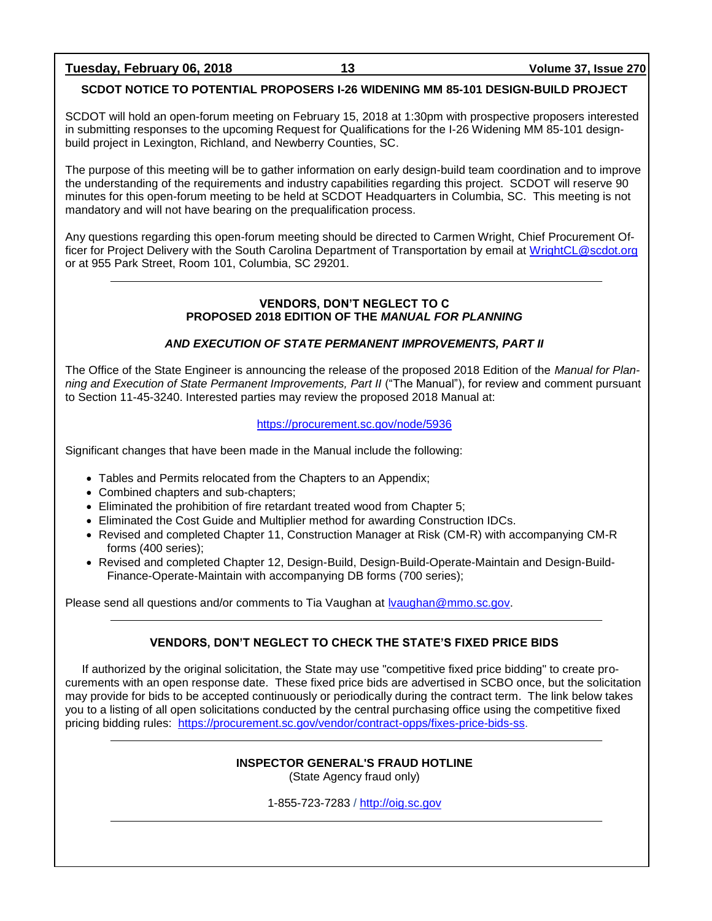**Tuesday, February 06, 2018 13 Volume 37, Issue 270**

### **SCDOT NOTICE TO POTENTIAL PROPOSERS I-26 WIDENING MM 85-101 DESIGN-BUILD PROJECT**

SCDOT will hold an open-forum meeting on February 15, 2018 at 1:30pm with prospective proposers interested in submitting responses to the upcoming Request for Qualifications for the I-26 Widening MM 85-101 designbuild project in Lexington, Richland, and Newberry Counties, SC.

The purpose of this meeting will be to gather information on early design-build team coordination and to improve the understanding of the requirements and industry capabilities regarding this project. SCDOT will reserve 90 minutes for this open-forum meeting to be held at SCDOT Headquarters in Columbia, SC. This meeting is not mandatory and will not have bearing on the prequalification process.

Any questions regarding this open-forum meeting should be directed to Carmen Wright, Chief Procurement Officer for Project Delivery with the South Carolina Department of Transportation by email at [WrightCL@scdot.org](mailto:WrightCL@scdot.org) or at 955 Park Street, Room 101, Columbia, SC 29201.

### **VENDORS, DON'T NEGLECT TO C PROPOSED 2018 EDITION OF THE** *MANUAL FOR PLANNING*

### *AND EXECUTION OF STATE PERMANENT IMPROVEMENTS, PART II*

The Office of the State Engineer is announcing the release of the proposed 2018 Edition of the *Manual for Planning and Execution of State Permanent Improvements, Part II* ("The Manual"), for review and comment pursuant to Section 11-45-3240. Interested parties may review the proposed 2018 Manual at:

### <https://procurement.sc.gov/node/5936>

Significant changes that have been made in the Manual include the following:

- Tables and Permits relocated from the Chapters to an Appendix;
- Combined chapters and sub-chapters;
- Eliminated the prohibition of fire retardant treated wood from Chapter 5;
- Eliminated the Cost Guide and Multiplier method for awarding Construction IDCs.
- Revised and completed Chapter 11, Construction Manager at Risk (CM-R) with accompanying CM-R forms (400 series);
- Revised and completed Chapter 12, Design-Build, Design-Build-Operate-Maintain and Design-Build-Finance-Operate-Maintain with accompanying DB forms (700 series);

Please send all questions and/or comments to Tia Vaughan at [lvaughan@mmo.sc.gov.](mailto:lvaughan@mmo.sc.gov)

### **VENDORS, DON'T NEGLECT TO CHECK THE STATE'S FIXED PRICE BIDS**

If authorized by the original solicitation, the State may use "competitive fixed price bidding" to create procurements with an open response date. These fixed price bids are advertised in SCBO once, but the solicitation may provide for bids to be accepted continuously or periodically during the contract term. The link below takes you to a listing of all open solicitations conducted by the central purchasing office using the competitive fixed pricing bidding rules: [https://procurement.sc.gov/vendor/contract-opps/fixes-price-bids-ss.](https://procurement.sc.gov/vendor/contract-opps/fixes-price-bids-ss)

### **INSPECTOR GENERAL'S FRAUD HOTLINE** (State Agency fraud only)

1-855-723-7283 / [http://oig.sc.gov](http://oig.sc.gov/)